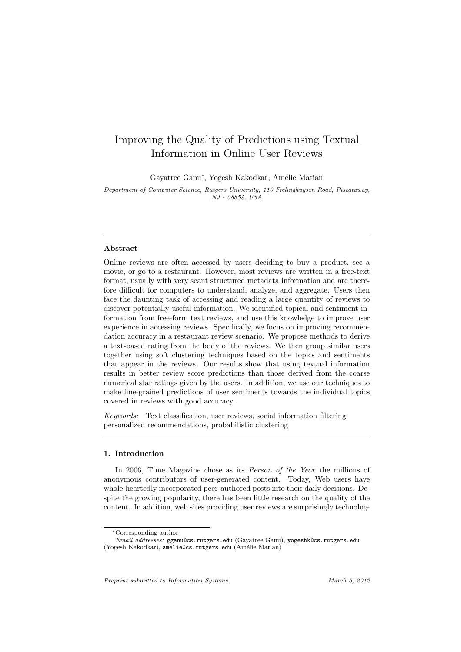# Improving the Quality of Predictions using Textual Information in Online User Reviews

Gayatree Ganu<sup>∗</sup>, Yogesh Kakodkar, Amélie Marian

Department of Computer Science, Rutgers University, 110 Frelinghuysen Road, Piscataway, NJ - 08854, USA

# Abstract

Online reviews are often accessed by users deciding to buy a product, see a movie, or go to a restaurant. However, most reviews are written in a free-text format, usually with very scant structured metadata information and are therefore difficult for computers to understand, analyze, and aggregate. Users then face the daunting task of accessing and reading a large quantity of reviews to discover potentially useful information. We identified topical and sentiment information from free-form text reviews, and use this knowledge to improve user experience in accessing reviews. Specifically, we focus on improving recommendation accuracy in a restaurant review scenario. We propose methods to derive a text-based rating from the body of the reviews. We then group similar users together using soft clustering techniques based on the topics and sentiments that appear in the reviews. Our results show that using textual information results in better review score predictions than those derived from the coarse numerical star ratings given by the users. In addition, we use our techniques to make fine-grained predictions of user sentiments towards the individual topics covered in reviews with good accuracy.

Keywords: Text classification, user reviews, social information filtering, personalized recommendations, probabilistic clustering

# 1. Introduction

In 2006, Time Magazine chose as its *Person of the Year* the millions of anonymous contributors of user-generated content. Today, Web users have whole-heartedly incorporated peer-authored posts into their daily decisions. Despite the growing popularity, there has been little research on the quality of the content. In addition, web sites providing user reviews are surprisingly technolog-

<sup>∗</sup>Corresponding author

Email addresses: gganu@cs.rutgers.edu (Gayatree Ganu), yogeshk@cs.rutgers.edu (Yogesh Kakodkar), amelie@cs.rutgers.edu (Amélie Marian)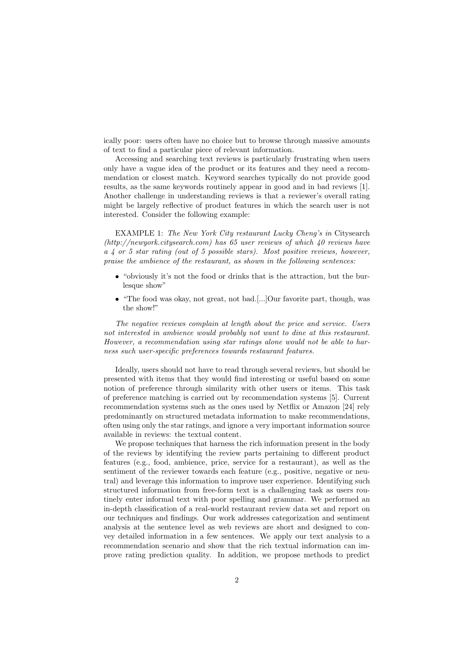ically poor: users often have no choice but to browse through massive amounts of text to find a particular piece of relevant information.

Accessing and searching text reviews is particularly frustrating when users only have a vague idea of the product or its features and they need a recommendation or closest match. Keyword searches typically do not provide good results, as the same keywords routinely appear in good and in bad reviews [1]. Another challenge in understanding reviews is that a reviewer's overall rating might be largely reflective of product features in which the search user is not interested. Consider the following example:

EXAMPLE 1: The New York City restaurant Lucky Cheng's in Citysearch (http://newyork.citysearch.com) has 65 user reviews of which 40 reviews have a 4 or 5 star rating (out of 5 possible stars). Most positive reviews, however, praise the ambience of the restaurant, as shown in the following sentences:

- "obviously it's not the food or drinks that is the attraction, but the burlesque show"
- "The food was okay, not great, not bad.[...]Our favorite part, though, was the show!"

The negative reviews complain at length about the price and service. Users not interested in ambience would probably not want to dine at this restaurant. However, a recommendation using star ratings alone would not be able to harness such user-specific preferences towards restaurant features.

Ideally, users should not have to read through several reviews, but should be presented with items that they would find interesting or useful based on some notion of preference through similarity with other users or items. This task of preference matching is carried out by recommendation systems [5]. Current recommendation systems such as the ones used by Netflix or Amazon [24] rely predominantly on structured metadata information to make recommendations, often using only the star ratings, and ignore a very important information source available in reviews: the textual content.

We propose techniques that harness the rich information present in the body of the reviews by identifying the review parts pertaining to different product features (e.g., food, ambience, price, service for a restaurant), as well as the sentiment of the reviewer towards each feature (e.g., positive, negative or neutral) and leverage this information to improve user experience. Identifying such structured information from free-form text is a challenging task as users routinely enter informal text with poor spelling and grammar. We performed an in-depth classification of a real-world restaurant review data set and report on our techniques and findings. Our work addresses categorization and sentiment analysis at the sentence level as web reviews are short and designed to convey detailed information in a few sentences. We apply our text analysis to a recommendation scenario and show that the rich textual information can improve rating prediction quality. In addition, we propose methods to predict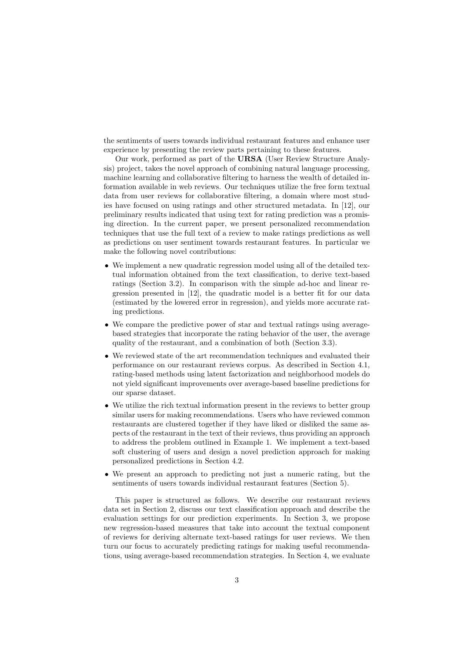the sentiments of users towards individual restaurant features and enhance user experience by presenting the review parts pertaining to these features.

Our work, performed as part of the URSA (User Review Structure Analysis) project, takes the novel approach of combining natural language processing, machine learning and collaborative filtering to harness the wealth of detailed information available in web reviews. Our techniques utilize the free form textual data from user reviews for collaborative filtering, a domain where most studies have focused on using ratings and other structured metadata. In [12], our preliminary results indicated that using text for rating prediction was a promising direction. In the current paper, we present personalized recommendation techniques that use the full text of a review to make ratings predictions as well as predictions on user sentiment towards restaurant features. In particular we make the following novel contributions:

- We implement a new quadratic regression model using all of the detailed textual information obtained from the text classification, to derive text-based ratings (Section 3.2). In comparison with the simple ad-hoc and linear regression presented in [12], the quadratic model is a better fit for our data (estimated by the lowered error in regression), and yields more accurate rating predictions.
- We compare the predictive power of star and textual ratings using averagebased strategies that incorporate the rating behavior of the user, the average quality of the restaurant, and a combination of both (Section 3.3).
- We reviewed state of the art recommendation techniques and evaluated their performance on our restaurant reviews corpus. As described in Section 4.1, rating-based methods using latent factorization and neighborhood models do not yield significant improvements over average-based baseline predictions for our sparse dataset.
- We utilize the rich textual information present in the reviews to better group similar users for making recommendations. Users who have reviewed common restaurants are clustered together if they have liked or disliked the same aspects of the restaurant in the text of their reviews, thus providing an approach to address the problem outlined in Example 1. We implement a text-based soft clustering of users and design a novel prediction approach for making personalized predictions in Section 4.2.
- We present an approach to predicting not just a numeric rating, but the sentiments of users towards individual restaurant features (Section 5).

This paper is structured as follows. We describe our restaurant reviews data set in Section 2, discuss our text classification approach and describe the evaluation settings for our prediction experiments. In Section 3, we propose new regression-based measures that take into account the textual component of reviews for deriving alternate text-based ratings for user reviews. We then turn our focus to accurately predicting ratings for making useful recommendations, using average-based recommendation strategies. In Section 4, we evaluate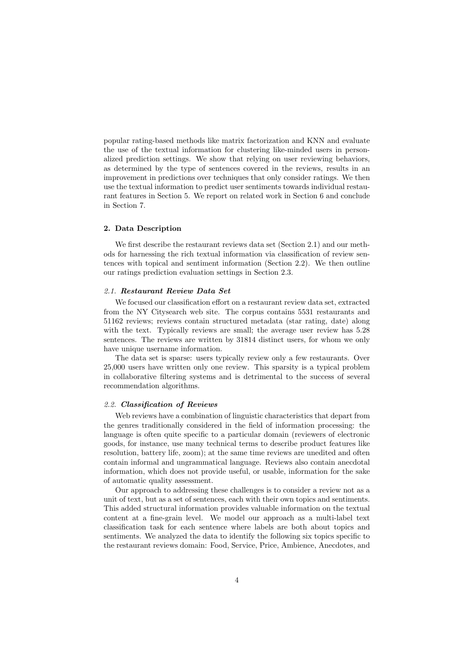popular rating-based methods like matrix factorization and KNN and evaluate the use of the textual information for clustering like-minded users in personalized prediction settings. We show that relying on user reviewing behaviors, as determined by the type of sentences covered in the reviews, results in an improvement in predictions over techniques that only consider ratings. We then use the textual information to predict user sentiments towards individual restaurant features in Section 5. We report on related work in Section 6 and conclude in Section 7.

# 2. Data Description

We first describe the restaurant reviews data set (Section 2.1) and our methods for harnessing the rich textual information via classification of review sentences with topical and sentiment information (Section 2.2). We then outline our ratings prediction evaluation settings in Section 2.3.

# 2.1. Restaurant Review Data Set

We focused our classification effort on a restaurant review data set, extracted from the NY Citysearch web site. The corpus contains 5531 restaurants and 51162 reviews; reviews contain structured metadata (star rating, date) along with the text. Typically reviews are small; the average user review has 5.28 sentences. The reviews are written by 31814 distinct users, for whom we only have unique username information.

The data set is sparse: users typically review only a few restaurants. Over 25,000 users have written only one review. This sparsity is a typical problem in collaborative filtering systems and is detrimental to the success of several recommendation algorithms.

#### 2.2. Classification of Reviews

Web reviews have a combination of linguistic characteristics that depart from the genres traditionally considered in the field of information processing: the language is often quite specific to a particular domain (reviewers of electronic goods, for instance, use many technical terms to describe product features like resolution, battery life, zoom); at the same time reviews are unedited and often contain informal and ungrammatical language. Reviews also contain anecdotal information, which does not provide useful, or usable, information for the sake of automatic quality assessment.

Our approach to addressing these challenges is to consider a review not as a unit of text, but as a set of sentences, each with their own topics and sentiments. This added structural information provides valuable information on the textual content at a fine-grain level. We model our approach as a multi-label text classification task for each sentence where labels are both about topics and sentiments. We analyzed the data to identify the following six topics specific to the restaurant reviews domain: Food, Service, Price, Ambience, Anecdotes, and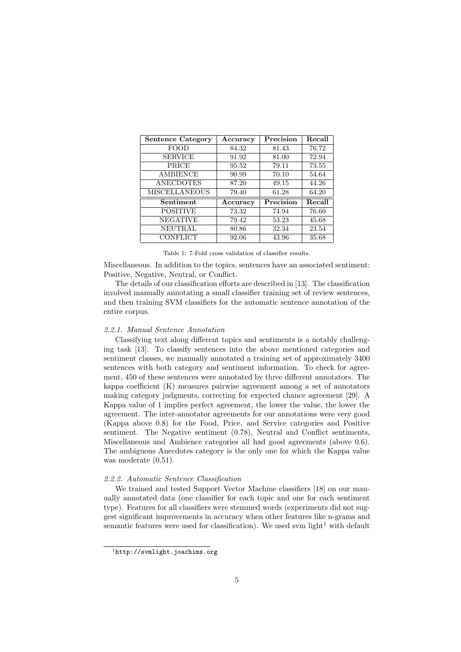| <b>Sentence Category</b> | Accuracy | Precision | Recall |
|--------------------------|----------|-----------|--------|
| FOOD                     | 84.32    | 81.43     | 76.72  |
| <b>SERVICE</b>           | 91.92    | 81.00     | 72.94  |
| PRICE                    | 95.52    | 79.11     | 73.55  |
| <b>AMBIENCE</b>          | 90.99    | 70.10     | 54.64  |
| <b>ANECDOTES</b>         | 87.20    | 49.15     | 44.26  |
| <b>MISCELLANEOUS</b>     | 79.40    | 61.28     | 64.20  |
| Sentiment                | Accuracy | Precision | Recall |
| <b>POSITIVE</b>          | 73.32    | 74.94     | 76.60  |
| <b>NEGATIVE</b>          | 79.42    | 53.23     | 45.68  |
| <b>NEUTRAL</b>           | 80.86    | 32.34     | 23.54  |
| <b>CONFLICT</b>          | 92.06    | 43.96     | 35.68  |

Table 1: 7-Fold cross validation of classifier results.

Miscellaneous. In addition to the topics, sentences have an associated sentiment: Positive, Negative, Neutral, or Conflict.

The details of our classification efforts are described in [13]. The classification involved manually annotating a small classifier training set of review sentences, and then training SVM classifiers for the automatic sentence annotation of the entire corpus.

# 2.2.1. Manual Sentence Annotation

Classifying text along different topics and sentiments is a notably challenging task [13]. To classify sentences into the above mentioned categories and sentiment classes, we manually annotated a training set of approximately 3400 sentences with both category and sentiment information. To check for agreement, 450 of these sentences were annotated by three different annotators. The kappa coefficient (K) measures pairwise agreement among a set of annotators making category judgments, correcting for expected chance agreement [29]. A Kappa value of 1 implies perfect agreement, the lower the value, the lower the agreement. The inter-annotator agreements for our annotations were very good (Kappa above 0.8) for the Food, Price, and Service categories and Positive sentiment. The Negative sentiment (0.78), Neutral and Conflict sentiments, Miscellaneous and Ambience categories all had good agreements (above 0.6). The ambiguous Anecdotes category is the only one for which the Kappa value was moderate (0.51).

# 2.2.2. Automatic Sentence Classification

We trained and tested Support Vector Machine classifiers [18] on our manually annotated data (one classifier for each topic and one for each sentiment type). Features for all classifiers were stemmed words (experiments did not suggest significant improvements in accuracy when other features like n-grams and semantic features were used for classification). We used svm light<sup>1</sup> with default

 ${}^{1}$ http://svmlight.joachims.org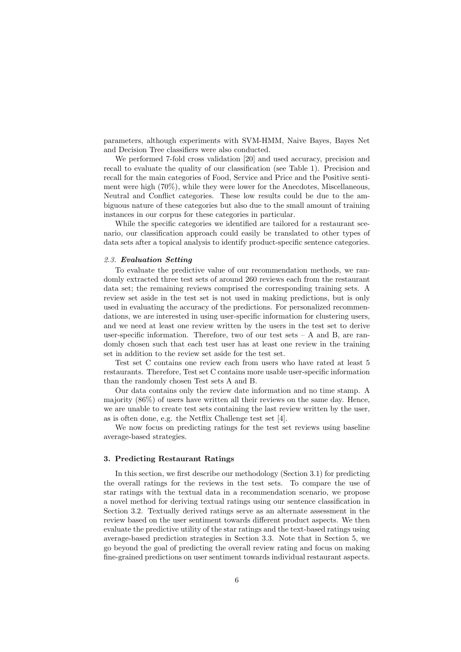parameters, although experiments with SVM-HMM, Naive Bayes, Bayes Net and Decision Tree classifiers were also conducted.

We performed 7-fold cross validation [20] and used accuracy, precision and recall to evaluate the quality of our classification (see Table 1). Precision and recall for the main categories of Food, Service and Price and the Positive sentiment were high (70%), while they were lower for the Anecdotes, Miscellaneous, Neutral and Conflict categories. These low results could be due to the ambiguous nature of these categories but also due to the small amount of training instances in our corpus for these categories in particular.

While the specific categories we identified are tailored for a restaurant scenario, our classification approach could easily be translated to other types of data sets after a topical analysis to identify product-specific sentence categories.

#### 2.3. Evaluation Setting

To evaluate the predictive value of our recommendation methods, we randomly extracted three test sets of around 260 reviews each from the restaurant data set; the remaining reviews comprised the corresponding training sets. A review set aside in the test set is not used in making predictions, but is only used in evaluating the accuracy of the predictions. For personalized recommendations, we are interested in using user-specific information for clustering users, and we need at least one review written by the users in the test set to derive user-specific information. Therefore, two of our test sets  $- A$  and B, are randomly chosen such that each test user has at least one review in the training set in addition to the review set aside for the test set.

Test set C contains one review each from users who have rated at least 5 restaurants. Therefore, Test set C contains more usable user-specific information than the randomly chosen Test sets A and B.

Our data contains only the review date information and no time stamp. A majority (86%) of users have written all their reviews on the same day. Hence, we are unable to create test sets containing the last review written by the user, as is often done, e.g. the Netflix Challenge test set [4].

We now focus on predicting ratings for the test set reviews using baseline average-based strategies.

# 3. Predicting Restaurant Ratings

In this section, we first describe our methodology (Section 3.1) for predicting the overall ratings for the reviews in the test sets. To compare the use of star ratings with the textual data in a recommendation scenario, we propose a novel method for deriving textual ratings using our sentence classification in Section 3.2. Textually derived ratings serve as an alternate assessment in the review based on the user sentiment towards different product aspects. We then evaluate the predictive utility of the star ratings and the text-based ratings using average-based prediction strategies in Section 3.3. Note that in Section 5, we go beyond the goal of predicting the overall review rating and focus on making fine-grained predictions on user sentiment towards individual restaurant aspects.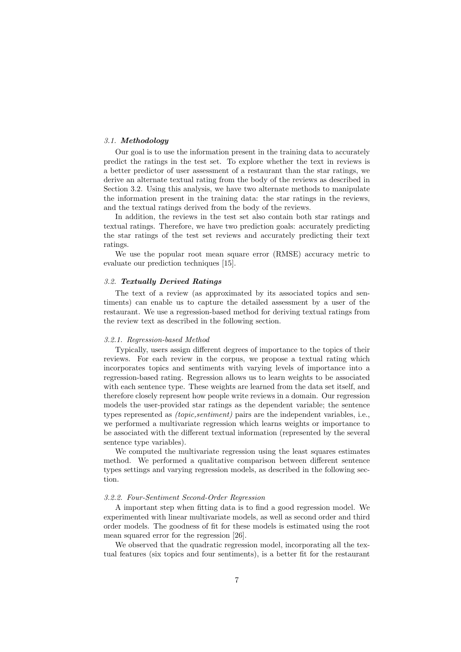# 3.1. Methodology

Our goal is to use the information present in the training data to accurately predict the ratings in the test set. To explore whether the text in reviews is a better predictor of user assessment of a restaurant than the star ratings, we derive an alternate textual rating from the body of the reviews as described in Section 3.2. Using this analysis, we have two alternate methods to manipulate the information present in the training data: the star ratings in the reviews, and the textual ratings derived from the body of the reviews.

In addition, the reviews in the test set also contain both star ratings and textual ratings. Therefore, we have two prediction goals: accurately predicting the star ratings of the test set reviews and accurately predicting their text ratings.

We use the popular root mean square error (RMSE) accuracy metric to evaluate our prediction techniques [15].

#### 3.2. Textually Derived Ratings

The text of a review (as approximated by its associated topics and sentiments) can enable us to capture the detailed assessment by a user of the restaurant. We use a regression-based method for deriving textual ratings from the review text as described in the following section.

# 3.2.1. Regression-based Method

Typically, users assign different degrees of importance to the topics of their reviews. For each review in the corpus, we propose a textual rating which incorporates topics and sentiments with varying levels of importance into a regression-based rating. Regression allows us to learn weights to be associated with each sentence type. These weights are learned from the data set itself, and therefore closely represent how people write reviews in a domain. Our regression models the user-provided star ratings as the dependent variable; the sentence types represented as (topic,sentiment) pairs are the independent variables, i.e., we performed a multivariate regression which learns weights or importance to be associated with the different textual information (represented by the several sentence type variables).

We computed the multivariate regression using the least squares estimates method. We performed a qualitative comparison between different sentence types settings and varying regression models, as described in the following section.

# 3.2.2. Four-Sentiment Second-Order Regression

A important step when fitting data is to find a good regression model. We experimented with linear multivariate models, as well as second order and third order models. The goodness of fit for these models is estimated using the root mean squared error for the regression [26].

We observed that the quadratic regression model, incorporating all the textual features (six topics and four sentiments), is a better fit for the restaurant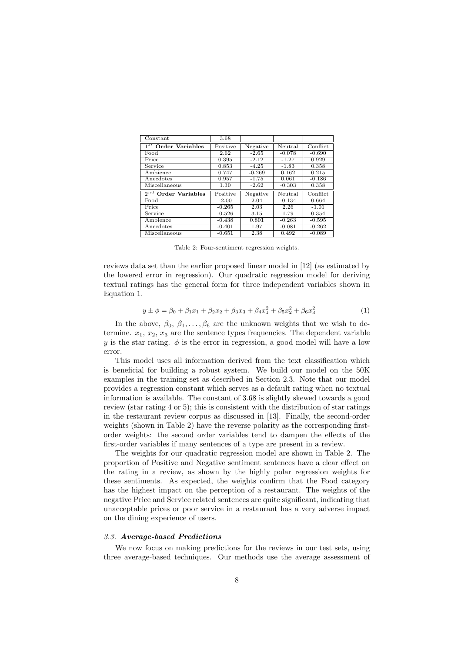| Constant                           | 3.68     |          |          |          |
|------------------------------------|----------|----------|----------|----------|
| $1^{st}$ Order Variables           | Positive | Negative | Neutral  | Conflict |
| Food                               | 2.62     | $-2.65$  | $-0.078$ | $-0.690$ |
| Price                              | 0.395    | $-2.12$  | $-1.27$  | 0.929    |
| Service                            | 0.853    | $-4.25$  | $-1.83$  | 0.358    |
| Ambience                           | 0.747    | $-0.269$ | 0.162    | 0.215    |
| Anecdotes                          | 0.957    | $-1.75$  | 0.061    | $-0.186$ |
| Miscellaneous                      | 1.30     | $-2.62$  | $-0.303$ | 0.358    |
| $2^{nd}$<br><b>Order Variables</b> | Positive | Negative | Neutral  | Conflict |
| Food                               | $-2.00$  | 2.04     | $-0.134$ | 0.664    |
| Price                              | $-0.265$ | 2.03     | 2.26     | $-1.01$  |
| Service                            | $-0.526$ | 3.15     | 1.79     | 0.354    |
| Ambience                           | $-0.438$ | 0.801    | $-0.263$ | $-0.595$ |
| Anecdotes                          | $-0.401$ | 1.97     | $-0.081$ | $-0.262$ |
| Miscellaneous                      | $-0.651$ | 2.38     | 0.492    | $-0.089$ |

Table 2: Four-sentiment regression weights.

reviews data set than the earlier proposed linear model in [12] (as estimated by the lowered error in regression). Our quadratic regression model for deriving textual ratings has the general form for three independent variables shown in Equation 1.

$$
y \pm \phi = \beta_0 + \beta_1 x_1 + \beta_2 x_2 + \beta_3 x_3 + \beta_4 x_1^2 + \beta_5 x_2^2 + \beta_6 x_3^2 \tag{1}
$$

In the above,  $\beta_0, \beta_1, \ldots, \beta_6$  are the unknown weights that we wish to determine.  $x_1, x_2, x_3$  are the sentence types frequencies. The dependent variable y is the star rating.  $\phi$  is the error in regression, a good model will have a low error.

This model uses all information derived from the text classification which is beneficial for building a robust system. We build our model on the 50K examples in the training set as described in Section 2.3. Note that our model provides a regression constant which serves as a default rating when no textual information is available. The constant of 3.68 is slightly skewed towards a good review (star rating 4 or 5); this is consistent with the distribution of star ratings in the restaurant review corpus as discussed in [13]. Finally, the second-order weights (shown in Table 2) have the reverse polarity as the corresponding firstorder weights: the second order variables tend to dampen the effects of the first-order variables if many sentences of a type are present in a review.

The weights for our quadratic regression model are shown in Table 2. The proportion of Positive and Negative sentiment sentences have a clear effect on the rating in a review, as shown by the highly polar regression weights for these sentiments. As expected, the weights confirm that the Food category has the highest impact on the perception of a restaurant. The weights of the negative Price and Service related sentences are quite significant, indicating that unacceptable prices or poor service in a restaurant has a very adverse impact on the dining experience of users.

## 3.3. Average-based Predictions

We now focus on making predictions for the reviews in our test sets, using three average-based techniques. Our methods use the average assessment of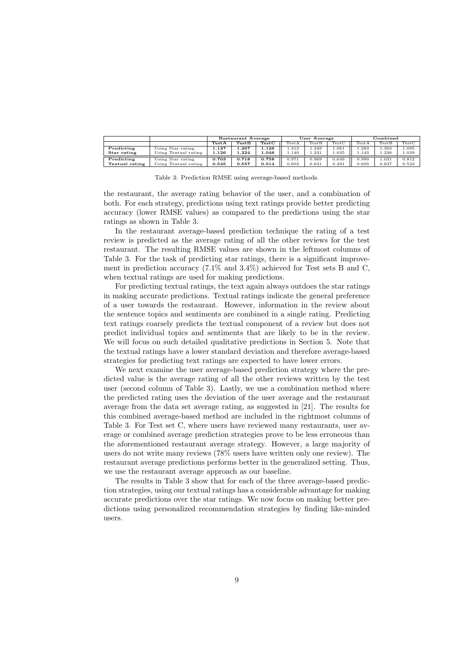|                |                      | Restaurant Average |       | User Average |       |              | Combined |       |       |       |
|----------------|----------------------|--------------------|-------|--------------|-------|--------------|----------|-------|-------|-------|
|                |                      | TestA              | TestB | TestC        | TestA | <b>TestB</b> | TestC    | TestA | TestB | TestC |
| Predicting     | Using Star rating    | 1.127              | 1.267 | 1.126        | .313  | 1.349        | .061     | .283  | 1.363 | 1.095 |
| Star rating    | Using Textual rating | 1.126              | 1.224 | L.046        | .149  | 1.231        | .035     | .143  | 1.236 | 1.029 |
| Predicting     | Using Star rating    | 0.703              | 0.718 | 0.758        | 0.971 | 0.969        | 0.649    | 0.990 | 1.031 | 0.812 |
| Textual rating | Using Textual rating | 0.545              | 0.557 | 0.514        | 0.603 | 0.631        | 0.491    | 0.609 | 0.637 | 0.523 |

Table 3: Prediction RMSE using average-based methods.

the restaurant, the average rating behavior of the user, and a combination of both. For each strategy, predictions using text ratings provide better predicting accuracy (lower RMSE values) as compared to the predictions using the star ratings as shown in Table 3.

In the restaurant average-based prediction technique the rating of a test review is predicted as the average rating of all the other reviews for the test restaurant. The resulting RMSE values are shown in the leftmost columns of Table 3. For the task of predicting star ratings, there is a significant improvement in prediction accuracy (7.1% and 3.4%) achieved for Test sets B and C, when textual ratings are used for making predictions.

For predicting textual ratings, the text again always outdoes the star ratings in making accurate predictions. Textual ratings indicate the general preference of a user towards the restaurant. However, information in the review about the sentence topics and sentiments are combined in a single rating. Predicting text ratings coarsely predicts the textual component of a review but does not predict individual topics and sentiments that are likely to be in the review. We will focus on such detailed qualitative predictions in Section 5. Note that the textual ratings have a lower standard deviation and therefore average-based strategies for predicting text ratings are expected to have lower errors.

We next examine the user average-based prediction strategy where the predicted value is the average rating of all the other reviews written by the test user (second column of Table 3). Lastly, we use a combination method where the predicted rating uses the deviation of the user average and the restaurant average from the data set average rating, as suggested in [21]. The results for this combined average-based method are included in the rightmost columns of Table 3. For Test set C, where users have reviewed many restaurants, user average or combined average prediction strategies prove to be less erroneous than the aforementioned restaurant average strategy. However, a large majority of users do not write many reviews (78% users have written only one review). The restaurant average predictions performs better in the generalized setting. Thus, we use the restaurant average approach as our baseline.

The results in Table 3 show that for each of the three average-based prediction strategies, using our textual ratings has a considerable advantage for making accurate predictions over the star ratings. We now focus on making better predictions using personalized recommendation strategies by finding like-minded users.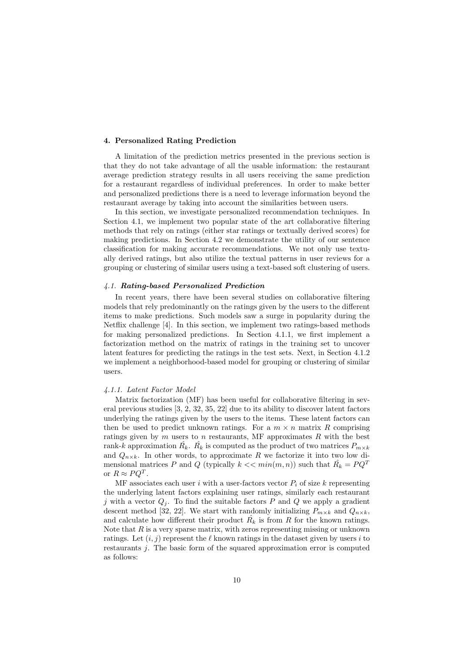## 4. Personalized Rating Prediction

A limitation of the prediction metrics presented in the previous section is that they do not take advantage of all the usable information: the restaurant average prediction strategy results in all users receiving the same prediction for a restaurant regardless of individual preferences. In order to make better and personalized predictions there is a need to leverage information beyond the restaurant average by taking into account the similarities between users.

In this section, we investigate personalized recommendation techniques. In Section 4.1, we implement two popular state of the art collaborative filtering methods that rely on ratings (either star ratings or textually derived scores) for making predictions. In Section 4.2 we demonstrate the utility of our sentence classification for making accurate recommendations. We not only use textually derived ratings, but also utilize the textual patterns in user reviews for a grouping or clustering of similar users using a text-based soft clustering of users.

#### 4.1. Rating-based Personalized Prediction

In recent years, there have been several studies on collaborative filtering models that rely predominantly on the ratings given by the users to the different items to make predictions. Such models saw a surge in popularity during the Netflix challenge [4]. In this section, we implement two ratings-based methods for making personalized predictions. In Section 4.1.1, we first implement a factorization method on the matrix of ratings in the training set to uncover latent features for predicting the ratings in the test sets. Next, in Section 4.1.2 we implement a neighborhood-based model for grouping or clustering of similar users.

#### 4.1.1. Latent Factor Model

Matrix factorization (MF) has been useful for collaborative filtering in several previous studies [3, 2, 32, 35, 22] due to its ability to discover latent factors underlying the ratings given by the users to the items. These latent factors can then be used to predict unknown ratings. For a  $m \times n$  matrix R comprising ratings given by  $m$  users to  $n$  restaurants, MF approximates  $R$  with the best rank-k approximation  $\hat{R_k}$ .  $\hat{R_k}$  is computed as the product of two matrices  $P_{m \times k}$ and  $Q_{n\times k}$ . In other words, to approximate R we factorize it into two low dimensional matrices P and Q (typically  $k \ll \min(m, n)$ ) such that  $\hat{R_k} = PQ^T$ or  $R \approx PQ^T$ .

 $\overline{MF}$  associates each user i with a user-factors vector  $P_i$  of size k representing the underlying latent factors explaining user ratings, similarly each restaurant j with a vector  $Q_i$ . To find the suitable factors P and Q we apply a gradient descent method [32, 22]. We start with randomly initializing  $P_{m \times k}$  and  $Q_{n \times k}$ , and calculate how different their product  $\hat{R_k}$  is from R for the known ratings. Note that  $R$  is a very sparse matrix, with zeros representing missing or unknown ratings. Let  $(i, j)$  represent the  $\ell$  known ratings in the dataset given by users i to restaurants j. The basic form of the squared approximation error is computed as follows: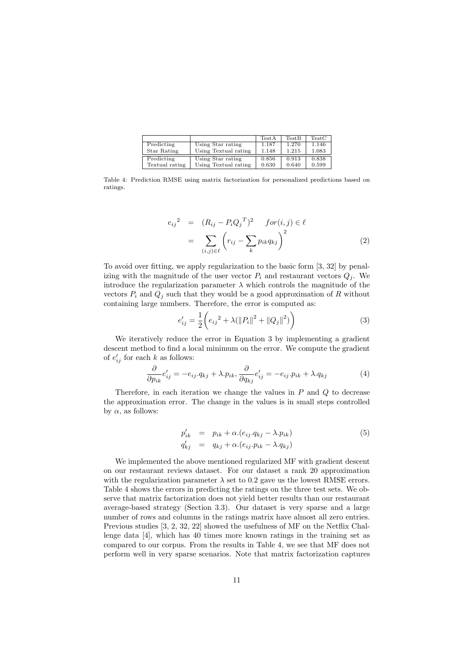|                |                      | TestA | <b>TestB</b> | TestC |
|----------------|----------------------|-------|--------------|-------|
| Predicting     | Using Star rating    | 1.187 | 1.270        | 1.146 |
| Star Rating    | Using Textual rating | 1.148 | 1.215        | 1.083 |
| Predicting     | Using Star rating    | 0.856 | 0.913        | 0.838 |
| Textual rating | Using Textual rating | 0.630 | 0.640        | 0.599 |

Table 4: Prediction RMSE using matrix factorization for personalized predictions based on ratings.

$$
e_{ij}^2 = (R_{ij} - P_i Q_j^T)^2 \quad \text{for} (i, j) \in \ell
$$
\n
$$
= \sum_{(i,j) \in \ell} \left( r_{ij} - \sum_k p_{ik} q_{kj} \right)^2 \tag{2}
$$

To avoid over fitting, we apply regularization to the basic form [3, 32] by penalizing with the magnitude of the user vector  $P_i$  and restaurant vectors  $Q_i$ . We introduce the regularization parameter  $\lambda$  which controls the magnitude of the vectors  $P_i$  and  $Q_j$  such that they would be a good approximation of R without containing large numbers. Therefore, the error is computed as:

$$
e'_{ij} = \frac{1}{2} \left( e_{ij}^2 + \lambda (||P_i||^2 + ||Q_j||^2) \right)
$$
 (3)

We iteratively reduce the error in Equation 3 by implementing a gradient descent method to find a local minimum on the error. We compute the gradient of  $e'_{ij}$  for each k as follows:

$$
\frac{\partial}{\partial p_{ik}} e'_{ij} = -e_{ij}.q_{kj} + \lambda.p_{ik}, \frac{\partial}{\partial q_{kj}} e'_{ij} = -e_{ij}.p_{ik} + \lambda.q_{kj}
$$
\n(4)

Therefore, in each iteration we change the values in  $P$  and  $Q$  to decrease the approximation error. The change in the values is in small steps controlled by  $\alpha$ , as follows:

$$
p'_{ik} = p_{ik} + \alpha.(e_{ij}.q_{kj} - \lambda.p_{ik})
$$
  
\n
$$
q'_{kj} = q_{kj} + \alpha.(e_{ij}.p_{ik} - \lambda.q_{kj})
$$
\n(5)

We implemented the above mentioned regularized MF with gradient descent on our restaurant reviews dataset. For our dataset a rank 20 approximation with the regularization parameter  $\lambda$  set to 0.2 gave us the lowest RMSE errors. Table 4 shows the errors in predicting the ratings on the three test sets. We observe that matrix factorization does not yield better results than our restaurant average-based strategy (Section 3.3). Our dataset is very sparse and a large number of rows and columns in the ratings matrix have almost all zero entries. Previous studies [3, 2, 32, 22] showed the usefulness of MF on the Netflix Challenge data [4], which has 40 times more known ratings in the training set as compared to our corpus. From the results in Table 4, we see that MF does not perform well in very sparse scenarios. Note that matrix factorization captures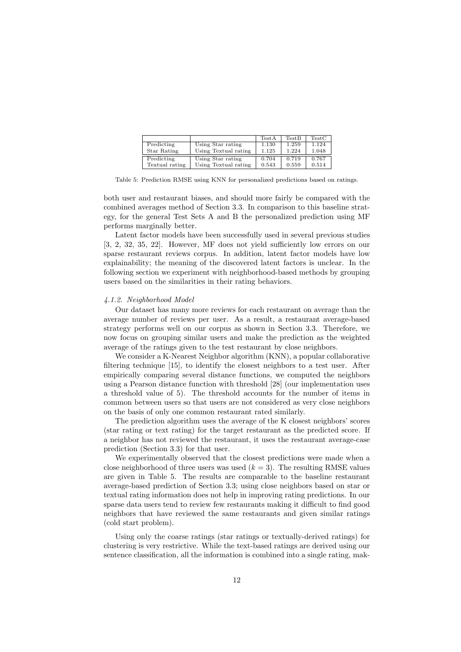|                |                      | TestA | <b>TestB</b> | TestC |
|----------------|----------------------|-------|--------------|-------|
| Predicting     | Using Star rating    | 1.130 | 1.259        | 1.124 |
| Star Rating    | Using Textual rating | 1.125 | 1.224        | 1.048 |
| Predicting     | Using Star rating    | 0.704 | 0.719        | 0.767 |
| Textual rating | Using Textual rating | 0.543 | 0.559        | 0.514 |

Table 5: Prediction RMSE using KNN for personalized predictions based on ratings.

both user and restaurant biases, and should more fairly be compared with the combined averages method of Section 3.3. In comparison to this baseline strategy, for the general Test Sets A and B the personalized prediction using MF performs marginally better.

Latent factor models have been successfully used in several previous studies [3, 2, 32, 35, 22]. However, MF does not yield sufficiently low errors on our sparse restaurant reviews corpus. In addition, latent factor models have low explainability; the meaning of the discovered latent factors is unclear. In the following section we experiment with neighborhood-based methods by grouping users based on the similarities in their rating behaviors.

### 4.1.2. Neighborhood Model

Our dataset has many more reviews for each restaurant on average than the average number of reviews per user. As a result, a restaurant average-based strategy performs well on our corpus as shown in Section 3.3. Therefore, we now focus on grouping similar users and make the prediction as the weighted average of the ratings given to the test restaurant by close neighbors.

We consider a K-Nearest Neighbor algorithm (KNN), a popular collaborative filtering technique [15], to identify the closest neighbors to a test user. After empirically comparing several distance functions, we computed the neighbors using a Pearson distance function with threshold [28] (our implementation uses a threshold value of 5). The threshold accounts for the number of items in common between users so that users are not considered as very close neighbors on the basis of only one common restaurant rated similarly.

The prediction algorithm uses the average of the K closest neighbors' scores (star rating or text rating) for the target restaurant as the predicted score. If a neighbor has not reviewed the restaurant, it uses the restaurant average-case prediction (Section 3.3) for that user.

We experimentally observed that the closest predictions were made when a close neighborhood of three users was used  $(k = 3)$ . The resulting RMSE values are given in Table 5. The results are comparable to the baseline restaurant average-based prediction of Section 3.3; using close neighbors based on star or textual rating information does not help in improving rating predictions. In our sparse data users tend to review few restaurants making it difficult to find good neighbors that have reviewed the same restaurants and given similar ratings (cold start problem).

Using only the coarse ratings (star ratings or textually-derived ratings) for clustering is very restrictive. While the text-based ratings are derived using our sentence classification, all the information is combined into a single rating, mak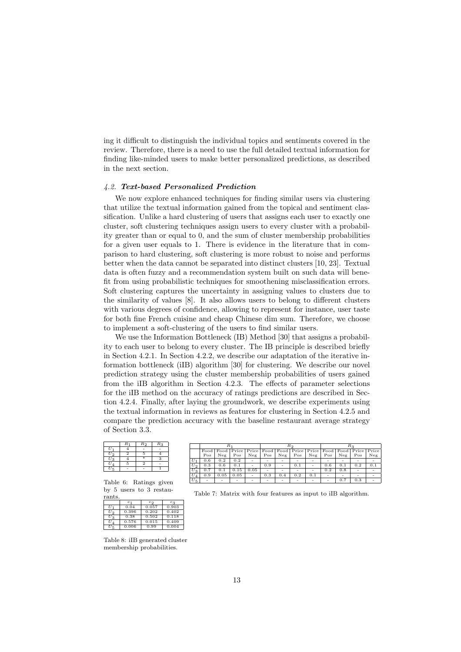ing it difficult to distinguish the individual topics and sentiments covered in the review. Therefore, there is a need to use the full detailed textual information for finding like-minded users to make better personalized predictions, as described in the next section.

## 4.2. Text-based Personalized Prediction

We now explore enhanced techniques for finding similar users via clustering that utilize the textual information gained from the topical and sentiment classification. Unlike a hard clustering of users that assigns each user to exactly one cluster, soft clustering techniques assign users to every cluster with a probability greater than or equal to 0, and the sum of cluster membership probabilities for a given user equals to 1. There is evidence in the literature that in comparison to hard clustering, soft clustering is more robust to noise and performs better when the data cannot be separated into distinct clusters [10, 23]. Textual data is often fuzzy and a recommendation system built on such data will benefit from using probabilistic techniques for smoothening misclassification errors. Soft clustering captures the uncertainty in assigning values to clusters due to the similarity of values [8]. It also allows users to belong to different clusters with various degrees of confidence, allowing to represent for instance, user taste for both fine French cuisine and cheap Chinese dim sum. Therefore, we choose to implement a soft-clustering of the users to find similar users.

We use the Information Bottleneck (IB) Method [30] that assigns a probability to each user to belong to every cluster. The IB principle is described briefly in Section 4.2.1. In Section 4.2.2, we describe our adaptation of the iterative information bottleneck (iIB) algorithm [30] for clustering. We describe our novel prediction strategy using the cluster membership probabilities of users gained from the iIB algorithm in Section 4.2.3. The effects of parameter selections for the iIB method on the accuracy of ratings predictions are described in Section 4.2.4. Finally, after laying the groundwork, we describe experiments using the textual information in reviews as features for clustering in Section 4.2.5 and compare the prediction accuracy with the baseline restaurant average strategy of Section 3.3.

| $R_1$ | R <sub>2</sub> | $R_2$ |
|-------|----------------|-------|
|       |                |       |
| 2     | 5              |       |
|       |                | 3     |
| 5     | $\mathcal{D}$  |       |
|       |                |       |
|       |                | ⋥     |

Table 6: Ratings given by 5 users to 3 restaurants.

|       | $_{c_1}$ | $c_{2}$ | $c_3$ |
|-------|----------|---------|-------|
| Uı    | 0.04     | 0.057   | 0.903 |
| U 9   | 0.396    | 0.202   | 0.402 |
| $U_3$ | 0.38     | 0.502   | 0.118 |
| U A   | 0.576    | 0.015   | 0.409 |
|       | 0.006    | 0.99    | 0.004 |
|       |          |         |       |

Table 8: iIB generated cluster membership probabilities.

|       |     |      | $R_{\pm}$ |                          | R2                       |                          |     |                                                                                         |        |     |     |     |
|-------|-----|------|-----------|--------------------------|--------------------------|--------------------------|-----|-----------------------------------------------------------------------------------------|--------|-----|-----|-----|
|       |     |      |           |                          |                          |                          |     | Food   Food   Price   Price   Food   Food   Price   Price   Food   Food   Price   Price |        |     |     |     |
|       | Pos | Neg  | Pos       | Neg                      | Pos                      | Neg                      | Pos | Neg                                                                                     | Pos    | Neg | Pos | Neg |
| $U_1$ | 0.6 | 0.2  | 0.2       | $\overline{\phantom{a}}$ | $\overline{\phantom{a}}$ | ٠                        | ۰   |                                                                                         |        |     | ۰   |     |
| $U_2$ | 0.3 | 0.6  | 0.1       | ٠                        | 0.9                      | ٠                        | 0.1 |                                                                                         | 0.6    | 0.1 | 0.2 | 0.1 |
| $U_3$ | 0.7 | 0.1  | 0.15      | 0.05                     | -                        | ٠                        | ۰   |                                                                                         | 0.2    | 0.8 | ۰   |     |
| $U_4$ | 0.9 | 0.05 | 0.05      | $\overline{\phantom{a}}$ | 0.3                      | 0.4                      | 0.2 | 0.1                                                                                     | $\sim$ | ۰   | ۰   |     |
| $U_5$ |     |      |           | $\overline{\phantom{a}}$ | $\overline{\phantom{a}}$ | $\overline{\phantom{a}}$ | ۰   |                                                                                         |        | 0.7 | 0.3 |     |

Table 7: Matrix with four features as input to iIB algorithm.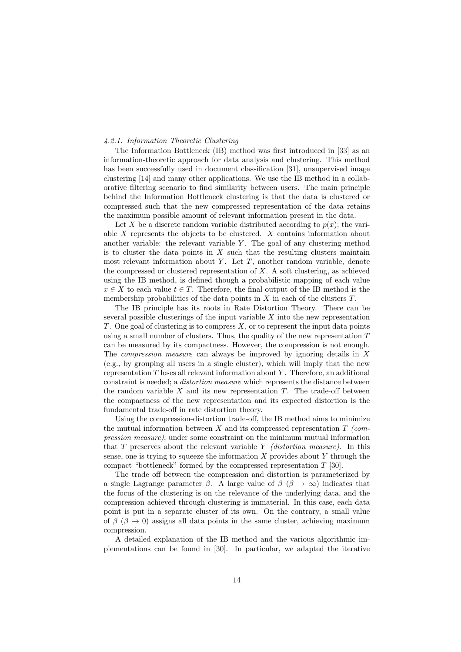## 4.2.1. Information Theoretic Clustering

The Information Bottleneck (IB) method was first introduced in [33] as an information-theoretic approach for data analysis and clustering. This method has been successfully used in document classification [31], unsupervised image clustering [14] and many other applications. We use the IB method in a collaborative filtering scenario to find similarity between users. The main principle behind the Information Bottleneck clustering is that the data is clustered or compressed such that the new compressed representation of the data retains the maximum possible amount of relevant information present in the data.

Let X be a discrete random variable distributed according to  $p(x)$ ; the variable X represents the objects to be clustered. X contains information about another variable: the relevant variable  $Y$ . The goal of any clustering method is to cluster the data points in  $X$  such that the resulting clusters maintain most relevant information about  $Y$ . Let  $T$ , another random variable, denote the compressed or clustered representation of  $X$ . A soft clustering, as achieved using the IB method, is defined though a probabilistic mapping of each value  $x \in X$  to each value  $t \in T$ . Therefore, the final output of the IB method is the membership probabilities of the data points in  $X$  in each of the clusters  $T$ .

The IB principle has its roots in Rate Distortion Theory. There can be several possible clusterings of the input variable  $X$  into the new representation T. One goal of clustering is to compress  $X$ , or to represent the input data points using a small number of clusters. Thus, the quality of the new representation  $T$ can be measured by its compactness. However, the compression is not enough. The compression measure can always be improved by ignoring details in X (e.g., by grouping all users in a single cluster), which will imply that the new representation  $T$  loses all relevant information about  $Y$ . Therefore, an additional constraint is needed; a distortion measure which represents the distance between the random variable  $X$  and its new representation  $T$ . The trade-off between the compactness of the new representation and its expected distortion is the fundamental trade-off in rate distortion theory.

Using the compression-distortion trade-off, the IB method aims to minimize the mutual information between X and its compressed representation  $T$  (compression measure), under some constraint on the minimum mutual information that  $T$  preserves about the relevant variable  $Y$  (distortion measure). In this sense, one is trying to squeeze the information  $X$  provides about Y through the compact "bottleneck" formed by the compressed representation  $T$  [30].

The trade off between the compression and distortion is parameterized by a single Lagrange parameter  $\beta$ . A large value of  $\beta$  ( $\beta \rightarrow \infty$ ) indicates that the focus of the clustering is on the relevance of the underlying data, and the compression achieved through clustering is immaterial. In this case, each data point is put in a separate cluster of its own. On the contrary, a small value of  $\beta$  ( $\beta \rightarrow 0$ ) assigns all data points in the same cluster, achieving maximum compression.

A detailed explanation of the IB method and the various algorithmic implementations can be found in [30]. In particular, we adapted the iterative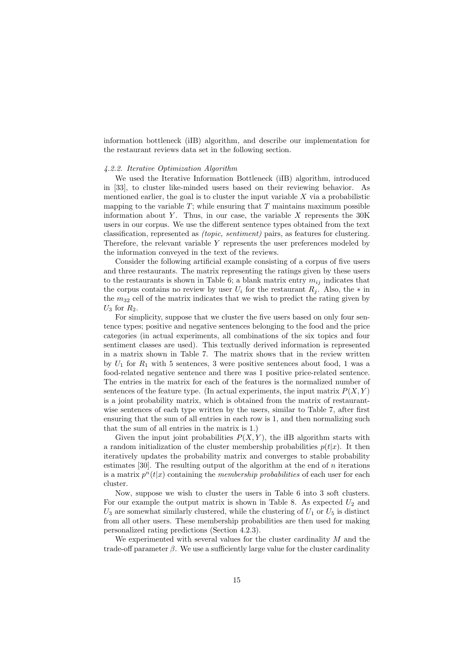information bottleneck (iIB) algorithm, and describe our implementation for the restaurant reviews data set in the following section.

# 4.2.2. Iterative Optimization Algorithm

We used the Iterative Information Bottleneck (iIB) algorithm, introduced in [33], to cluster like-minded users based on their reviewing behavior. As mentioned earlier, the goal is to cluster the input variable  $X$  via a probabilistic mapping to the variable  $T$ ; while ensuring that  $T$  maintains maximum possible information about Y. Thus, in our case, the variable  $X$  represents the 30K users in our corpus. We use the different sentence types obtained from the text classification, represented as (topic, sentiment) pairs, as features for clustering. Therefore, the relevant variable Y represents the user preferences modeled by the information conveyed in the text of the reviews.

Consider the following artificial example consisting of a corpus of five users and three restaurants. The matrix representing the ratings given by these users to the restaurants is shown in Table 6; a blank matrix entry  $m_{ij}$  indicates that the corpus contains no review by user  $U_i$  for the restaurant  $R_i$ . Also, the  $*$  in the  $m_{32}$  cell of the matrix indicates that we wish to predict the rating given by  $U_3$  for  $R_2$ .

For simplicity, suppose that we cluster the five users based on only four sentence types; positive and negative sentences belonging to the food and the price categories (in actual experiments, all combinations of the six topics and four sentiment classes are used). This textually derived information is represented in a matrix shown in Table 7. The matrix shows that in the review written by  $U_1$  for  $R_1$  with 5 sentences, 3 were positive sentences about food, 1 was a food-related negative sentence and there was 1 positive price-related sentence. The entries in the matrix for each of the features is the normalized number of sentences of the feature type. (In actual experiments, the input matrix  $P(X, Y)$ is a joint probability matrix, which is obtained from the matrix of restaurantwise sentences of each type written by the users, similar to Table 7, after first ensuring that the sum of all entries in each row is 1, and then normalizing such that the sum of all entries in the matrix is 1.)

Given the input joint probabilities  $P(X, Y)$ , the iIB algorithm starts with a random initialization of the cluster membership probabilities  $p(t|x)$ . It then iteratively updates the probability matrix and converges to stable probability estimates [30]. The resulting output of the algorithm at the end of  $n$  iterations is a matrix  $p^{n}(t|x)$  containing the *membership probabilities* of each user for each cluster.

Now, suppose we wish to cluster the users in Table 6 into 3 soft clusters. For our example the output matrix is shown in Table 8. As expected  $U_2$  and  $U_3$  are somewhat similarly clustered, while the clustering of  $U_1$  or  $U_5$  is distinct from all other users. These membership probabilities are then used for making personalized rating predictions (Section 4.2.3).

We experimented with several values for the cluster cardinality  $M$  and the trade-off parameter  $\beta$ . We use a sufficiently large value for the cluster cardinality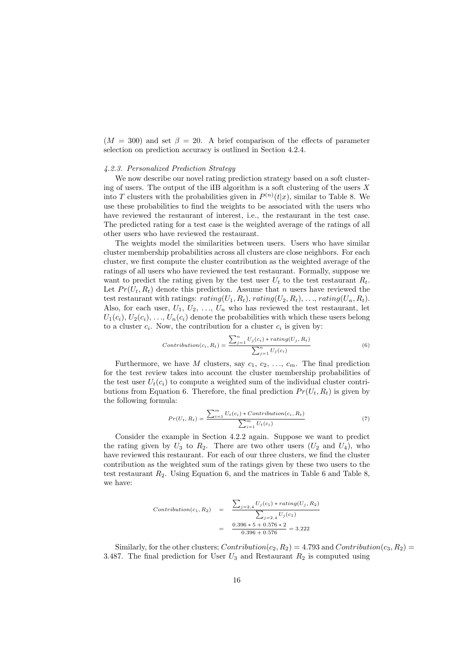$(M = 300)$  and set  $\beta = 20$ . A brief comparison of the effects of parameter selection on prediction accuracy is outlined in Section 4.2.4.

# 4.2.3. Personalized Prediction Strategy

We now describe our novel rating prediction strategy based on a soft clustering of users. The output of the iIB algorithm is a soft clustering of the users  $X$ into T clusters with the probabilities given in  $P^{(n)}(t|x)$ , similar to Table 8. We use these probabilities to find the weights to be associated with the users who have reviewed the restaurant of interest, i.e., the restaurant in the test case. The predicted rating for a test case is the weighted average of the ratings of all other users who have reviewed the restaurant.

The weights model the similarities between users. Users who have similar cluster membership probabilities across all clusters are close neighbors. For each cluster, we first compute the cluster contribution as the weighted average of the ratings of all users who have reviewed the test restaurant. Formally, suppose we want to predict the rating given by the test user  $U_t$  to the test restaurant  $R_t$ . Let  $Pr(U_t, R_t)$  denote this prediction. Assume that n users have reviewed the test restaurant with ratings:  $rating(U_1, R_t), rating(U_2, R_t), ..., rating(U_n, R_t)$ . Also, for each user,  $U_1, U_2, \ldots, U_n$  who has reviewed the test restaurant, let  $U_1(c_i), U_2(c_i), \ldots, U_n(c_i)$  denote the probabilities with which these users belong to a cluster  $c_i$ . Now, the contribution for a cluster  $c_i$  is given by:

$$
Contribution(c_i, R_t) = \frac{\sum_{j=1}^{n} U_j(c_i) * rating(U_j, R_t)}{\sum_{j=1}^{n} U_j(c_i)}
$$
\n
$$
(6)
$$

Furthermore, we have M clusters, say  $c_1, c_2, \ldots, c_m$ . The final prediction for the test review takes into account the cluster membership probabilities of the test user  $U_t(c_i)$  to compute a weighted sum of the individual cluster contributions from Equation 6. Therefore, the final prediction  $Pr(U_t, R_t)$  is given by the following formula:

$$
Pr(U_t, R_t) = \frac{\sum_{i=1}^{m} U_t(c_i) * Contribution(c_i, R_t)}{\sum_{i=1}^{m} U_t(c_i)}
$$
\n
$$
(7)
$$

Consider the example in Section 4.2.2 again. Suppose we want to predict the rating given by  $U_3$  to  $R_2$ . There are two other users  $(U_2 \text{ and } U_4)$ , who have reviewed this restaurant. For each of our three clusters, we find the cluster contribution as the weighted sum of the ratings given by these two users to the test restaurant  $R_2$ . Using Equation 6, and the matrices in Table 6 and Table 8, we have:

$$
Contribution(c_1, R_2) = \frac{\sum_{j=2,4} U_j(c_1) * rating(U_j, R_2)}{\sum_{j=2,4} U_j(c_1)}
$$
  
= 
$$
\frac{0.396 * 5 + 0.576 * 2}{0.396 + 0.576} = 3.222
$$

Similarly, for the other clusters;  $Contribution(c_2, R_2) = 4.793$  and  $Contribution(c_3, R_2) =$ 3.487. The final prediction for User  $U_3$  and Restaurant  $R_2$  is computed using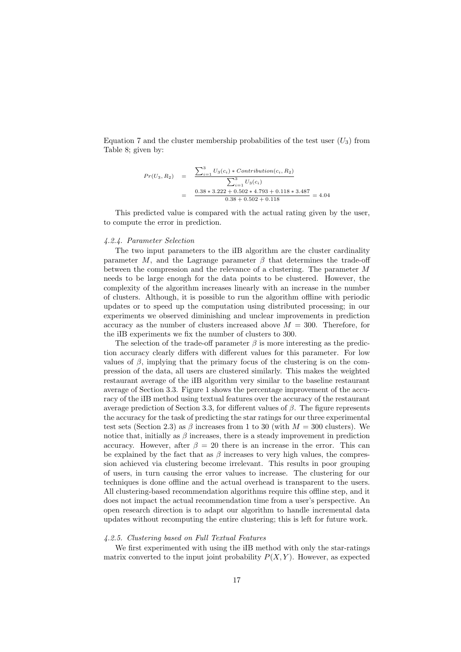Equation 7 and the cluster membership probabilities of the test user  $(U_3)$  from Table 8; given by:

$$
Pr(U_3, R_2) = \frac{\sum_{i=1}^{3} U_3(c_i) * Contribution(c_i, R_2)}{\sum_{i=1}^{3} U_3(c_i)}
$$
  
= 
$$
\frac{0.38 * 3.222 + 0.502 * 4.793 + 0.118 * 3.487}{0.38 + 0.502 + 0.118} = 4.04
$$

This predicted value is compared with the actual rating given by the user, to compute the error in prediction.

# 4.2.4. Parameter Selection

The two input parameters to the iIB algorithm are the cluster cardinality parameter M, and the Lagrange parameter  $\beta$  that determines the trade-off between the compression and the relevance of a clustering. The parameter M needs to be large enough for the data points to be clustered. However, the complexity of the algorithm increases linearly with an increase in the number of clusters. Although, it is possible to run the algorithm offline with periodic updates or to speed up the computation using distributed processing; in our experiments we observed diminishing and unclear improvements in prediction accuracy as the number of clusters increased above  $M = 300$ . Therefore, for the iIB experiments we fix the number of clusters to 300.

The selection of the trade-off parameter  $\beta$  is more interesting as the prediction accuracy clearly differs with different values for this parameter. For low values of  $\beta$ , implying that the primary focus of the clustering is on the compression of the data, all users are clustered similarly. This makes the weighted restaurant average of the iIB algorithm very similar to the baseline restaurant average of Section 3.3. Figure 1 shows the percentage improvement of the accuracy of the iIB method using textual features over the accuracy of the restaurant average prediction of Section 3.3, for different values of  $\beta$ . The figure represents the accuracy for the task of predicting the star ratings for our three experimental test sets (Section 2.3) as  $\beta$  increases from 1 to 30 (with  $M = 300$  clusters). We notice that, initially as  $\beta$  increases, there is a steady improvement in prediction accuracy. However, after  $\beta = 20$  there is an increase in the error. This can be explained by the fact that as  $\beta$  increases to very high values, the compression achieved via clustering become irrelevant. This results in poor grouping of users, in turn causing the error values to increase. The clustering for our techniques is done offline and the actual overhead is transparent to the users. All clustering-based recommendation algorithms require this offline step, and it does not impact the actual recommendation time from a user's perspective. An open research direction is to adapt our algorithm to handle incremental data updates without recomputing the entire clustering; this is left for future work.

#### 4.2.5. Clustering based on Full Textual Features

We first experimented with using the iIB method with only the star-ratings matrix converted to the input joint probability  $P(X, Y)$ . However, as expected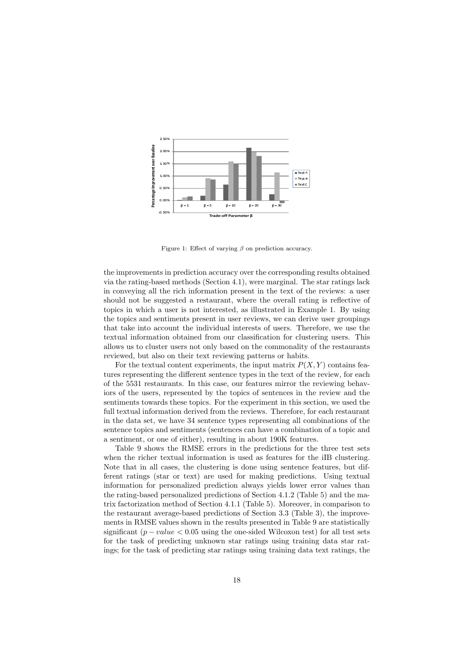

Figure 1: Effect of varying  $\beta$  on prediction accuracy.

the improvements in prediction accuracy over the corresponding results obtained via the rating-based methods (Section 4.1), were marginal. The star ratings lack in conveying all the rich information present in the text of the reviews: a user should not be suggested a restaurant, where the overall rating is reflective of topics in which a user is not interested, as illustrated in Example 1. By using the topics and sentiments present in user reviews, we can derive user groupings that take into account the individual interests of users. Therefore, we use the textual information obtained from our classification for clustering users. This allows us to cluster users not only based on the commonality of the restaurants reviewed, but also on their text reviewing patterns or habits.

For the textual content experiments, the input matrix  $P(X, Y)$  contains features representing the different sentence types in the text of the review, for each of the 5531 restaurants. In this case, our features mirror the reviewing behaviors of the users, represented by the topics of sentences in the review and the sentiments towards these topics. For the experiment in this section, we used the full textual information derived from the reviews. Therefore, for each restaurant in the data set, we have 34 sentence types representing all combinations of the sentence topics and sentiments (sentences can have a combination of a topic and a sentiment, or one of either), resulting in about 190K features.

Table 9 shows the RMSE errors in the predictions for the three test sets when the richer textual information is used as features for the iIB clustering. Note that in all cases, the clustering is done using sentence features, but different ratings (star or text) are used for making predictions. Using textual information for personalized prediction always yields lower error values than the rating-based personalized predictions of Section 4.1.2 (Table 5) and the matrix factorization method of Section 4.1.1 (Table 5). Moreover, in comparison to the restaurant average-based predictions of Section 3.3 (Table 3), the improvements in RMSE values shown in the results presented in Table 9 are statistically significant ( $p-value < 0.05$  using the one-sided Wilcoxon test) for all test sets for the task of predicting unknown star ratings using training data star ratings; for the task of predicting star ratings using training data text ratings, the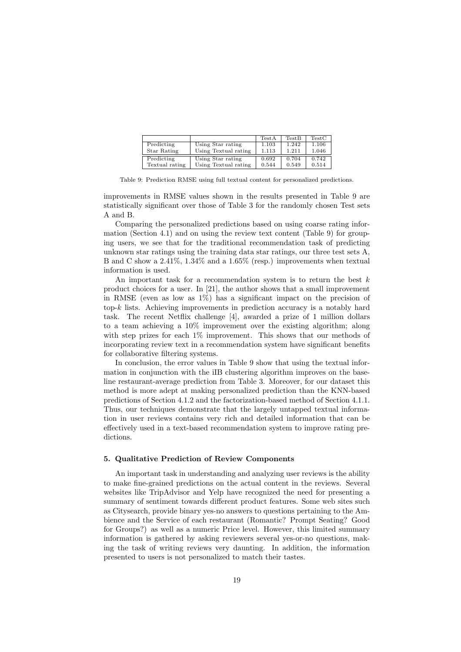|                |                      | TestA | <b>TestB</b> | TestC |
|----------------|----------------------|-------|--------------|-------|
| Predicting     | Using Star rating    | 1.103 | 1.242        | 1.106 |
| Star Rating    | Using Textual rating | 1.113 | 1.211        | 1.046 |
| Predicting     | Using Star rating    | 0.692 | 0.704        | 0.742 |
| Textual rating | Using Textual rating | 0.544 | 0.549        | 0.514 |

Table 9: Prediction RMSE using full textual content for personalized predictions.

improvements in RMSE values shown in the results presented in Table 9 are statistically significant over those of Table 3 for the randomly chosen Test sets A and B.

Comparing the personalized predictions based on using coarse rating information (Section 4.1) and on using the review text content (Table 9) for grouping users, we see that for the traditional recommendation task of predicting unknown star ratings using the training data star ratings, our three test sets A, B and C show a 2.41%, 1.34% and a 1.65% (resp.) improvements when textual information is used.

An important task for a recommendation system is to return the best  $k$ product choices for a user. In [21], the author shows that a small improvement in RMSE (even as low as 1%) has a significant impact on the precision of top- $k$  lists. Achieving improvements in prediction accuracy is a notably hard task. The recent Netflix challenge [4], awarded a prize of 1 million dollars to a team achieving a 10% improvement over the existing algorithm; along with step prizes for each  $1\%$  improvement. This shows that our methods of incorporating review text in a recommendation system have significant benefits for collaborative filtering systems.

In conclusion, the error values in Table 9 show that using the textual information in conjunction with the iIB clustering algorithm improves on the baseline restaurant-average prediction from Table 3. Moreover, for our dataset this method is more adept at making personalized prediction than the KNN-based predictions of Section 4.1.2 and the factorization-based method of Section 4.1.1. Thus, our techniques demonstrate that the largely untapped textual information in user reviews contains very rich and detailed information that can be effectively used in a text-based recommendation system to improve rating predictions.

# 5. Qualitative Prediction of Review Components

An important task in understanding and analyzing user reviews is the ability to make fine-grained predictions on the actual content in the reviews. Several websites like TripAdvisor and Yelp have recognized the need for presenting a summary of sentiment towards different product features. Some web sites such as Citysearch, provide binary yes-no answers to questions pertaining to the Ambience and the Service of each restaurant (Romantic? Prompt Seating? Good for Groups?) as well as a numeric Price level. However, this limited summary information is gathered by asking reviewers several yes-or-no questions, making the task of writing reviews very daunting. In addition, the information presented to users is not personalized to match their tastes.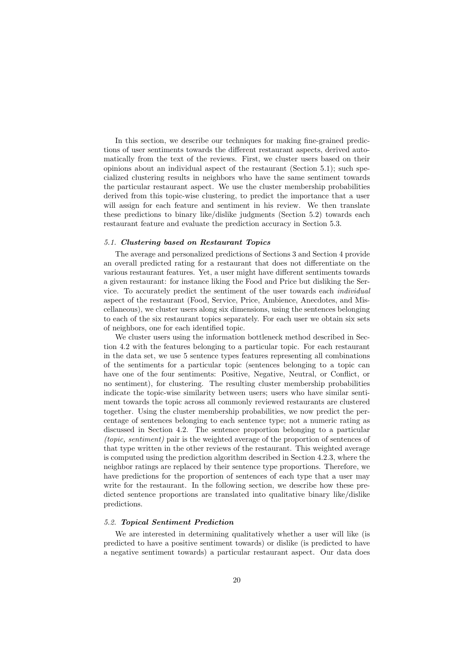In this section, we describe our techniques for making fine-grained predictions of user sentiments towards the different restaurant aspects, derived automatically from the text of the reviews. First, we cluster users based on their opinions about an individual aspect of the restaurant (Section 5.1); such specialized clustering results in neighbors who have the same sentiment towards the particular restaurant aspect. We use the cluster membership probabilities derived from this topic-wise clustering, to predict the importance that a user will assign for each feature and sentiment in his review. We then translate these predictions to binary like/dislike judgments (Section 5.2) towards each restaurant feature and evaluate the prediction accuracy in Section 5.3.

# 5.1. Clustering based on Restaurant Topics

The average and personalized predictions of Sections 3 and Section 4 provide an overall predicted rating for a restaurant that does not differentiate on the various restaurant features. Yet, a user might have different sentiments towards a given restaurant: for instance liking the Food and Price but disliking the Service. To accurately predict the sentiment of the user towards each individual aspect of the restaurant (Food, Service, Price, Ambience, Anecdotes, and Miscellaneous), we cluster users along six dimensions, using the sentences belonging to each of the six restaurant topics separately. For each user we obtain six sets of neighbors, one for each identified topic.

We cluster users using the information bottleneck method described in Section 4.2 with the features belonging to a particular topic. For each restaurant in the data set, we use 5 sentence types features representing all combinations of the sentiments for a particular topic (sentences belonging to a topic can have one of the four sentiments: Positive, Negative, Neutral, or Conflict, or no sentiment), for clustering. The resulting cluster membership probabilities indicate the topic-wise similarity between users; users who have similar sentiment towards the topic across all commonly reviewed restaurants are clustered together. Using the cluster membership probabilities, we now predict the percentage of sentences belonging to each sentence type; not a numeric rating as discussed in Section 4.2. The sentence proportion belonging to a particular (topic, sentiment) pair is the weighted average of the proportion of sentences of that type written in the other reviews of the restaurant. This weighted average is computed using the prediction algorithm described in Section 4.2.3, where the neighbor ratings are replaced by their sentence type proportions. Therefore, we have predictions for the proportion of sentences of each type that a user may write for the restaurant. In the following section, we describe how these predicted sentence proportions are translated into qualitative binary like/dislike predictions.

# 5.2. Topical Sentiment Prediction

We are interested in determining qualitatively whether a user will like (is predicted to have a positive sentiment towards) or dislike (is predicted to have a negative sentiment towards) a particular restaurant aspect. Our data does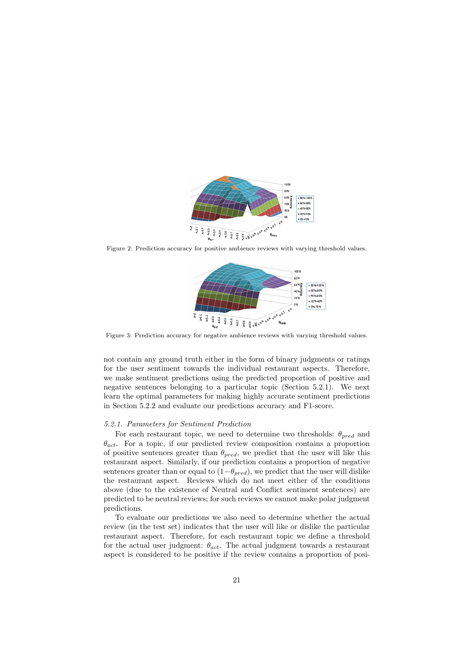

Figure 2: Prediction accuracy for positive ambience reviews with varying threshold values.



Figure 3: Prediction accuracy for negative ambience reviews with varying threshold values.

not contain any ground truth either in the form of binary judgments or ratings for the user sentiment towards the individual restaurant aspects. Therefore, we make sentiment predictions using the predicted proportion of positive and negative sentences belonging to a particular topic (Section 5.2.1). We next learn the optimal parameters for making highly accurate sentiment predictions in Section 5.2.2 and evaluate our predictions accuracy and F1-score.

# 5.2.1. Parameters for Sentiment Prediction

For each restaurant topic, we need to determine two thresholds:  $\theta_{pred}$  and  $\theta_{act}$ . For a topic, if our predicted review composition contains a proportion of positive sentences greater than  $\theta_{pred}$ , we predict that the user will like this restaurant aspect. Similarly, if our prediction contains a proportion of negative sentences greater than or equal to  $(1-\theta_{pred})$ , we predict that the user will dislike the restaurant aspect. Reviews which do not meet either of the conditions above (due to the existence of Neutral and Conflict sentiment sentences) are predicted to be neutral reviews; for such reviews we cannot make polar judgment predictions.

To evaluate our predictions we also need to determine whether the actual review (in the test set) indicates that the user will like or dislike the particular restaurant aspect. Therefore, for each restaurant topic we define a threshold for the actual user judgment:  $\theta_{act}$ . The actual judgment towards a restaurant aspect is considered to be positive if the review contains a proportion of posi-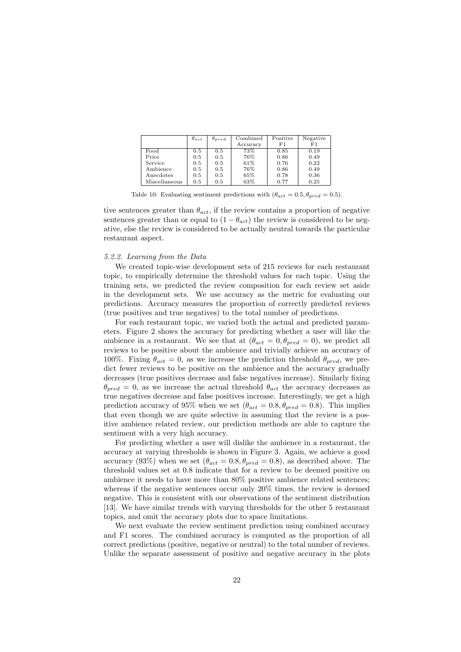|               | $\theta_{act}$ | $\theta_{pred}$ | $\overline{\text{Combined}}$ | Positive | Negative |
|---------------|----------------|-----------------|------------------------------|----------|----------|
|               |                |                 | Accuracy                     | F1       | F1       |
| Food          | 0.5            | 0.5             | 73%                          | 0.85     | 0.19     |
| Price         | 0.5            | 0.5             | 76%                          | 0.86     | 0.49     |
| Service       | 0.5            | 0.5             | 61%                          | 0.76     | 0.22     |
| Ambience      | 0.5            | 0.5             | 76%                          | 0.86     | 0.49     |
| Anecdotes     | 0.5            | 0.5             | 65%                          | 0.78     | 0.36     |
| Miscellaneous | 0.5            | 0.5             | 63%                          | 0.77     | 0.25     |

Table 10: Evaluating sentiment predictions with  $(\theta_{act} = 0.5, \theta_{pred} = 0.5)$ .

tive sentences greater than  $\theta_{act}$ , if the review contains a proportion of negative sentences greater than or equal to  $(1 - \theta_{act})$  the review is considered to be negative, else the review is considered to be actually neutral towards the particular restaurant aspect.

### 5.2.2. Learning from the Data

We created topic-wise development sets of 215 reviews for each restaurant topic, to empirically determine the threshold values for each topic. Using the training sets, we predicted the review composition for each review set aside in the development sets. We use accuracy as the metric for evaluating our predictions. Accuracy measures the proportion of correctly predicted reviews (true positives and true negatives) to the total number of predictions.

For each restaurant topic, we varied both the actual and predicted parameters. Figure 2 shows the accuracy for predicting whether a user will like the ambience in a restaurant. We see that at  $(\theta_{act} = 0, \theta_{pred} = 0)$ , we predict all reviews to be positive about the ambience and trivially achieve an accuracy of 100%. Fixing  $\theta_{act} = 0$ , as we increase the prediction threshold  $\theta_{pred}$ , we predict fewer reviews to be positive on the ambience and the accuracy gradually decreases (true positives decrease and false negatives increase). Similarly fixing  $\theta_{pred} = 0$ , as we increase the actual threshold  $\theta_{act}$  the accuracy decreases as true negatives decrease and false positives increase. Interestingly, we get a high prediction accuracy of 95% when we set  $(\theta_{act} = 0.8, \theta_{pred} = 0.8)$ . This implies that even though we are quite selective in assuming that the review is a positive ambience related review, our prediction methods are able to capture the sentiment with a very high accuracy.

For predicting whether a user will dislike the ambience in a restaurant, the accuracy at varying thresholds is shown in Figure 3. Again, we achieve a good accuracy (93%) when we set ( $\theta_{act} = 0.8, \theta_{pred} = 0.8$ ), as described above. The threshold values set at 0.8 indicate that for a review to be deemed positive on ambience it needs to have more than 80% positive ambience related sentences; whereas if the negative sentences occur only 20% times, the review is deemed negative. This is consistent with our observations of the sentiment distribution [13]. We have similar trends with varying thresholds for the other 5 restaurant topics, and omit the accuracy plots due to space limitations.

We next evaluate the review sentiment prediction using combined accuracy and F1 scores. The combined accuracy is computed as the proportion of all correct predictions (positive, negative or neutral) to the total number of reviews. Unlike the separate assessment of positive and negative accuracy in the plots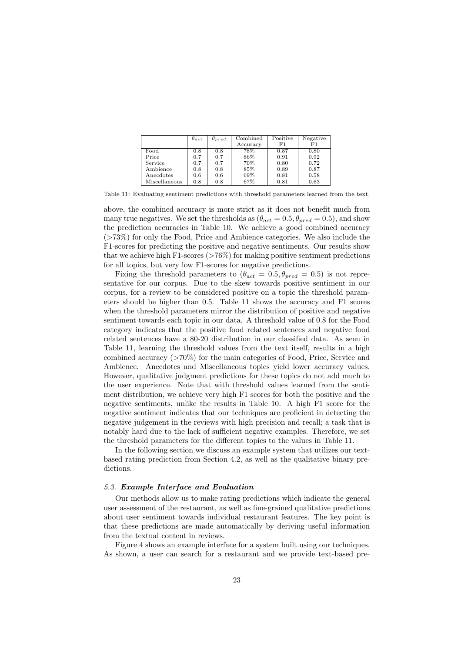|               | $\theta_{act}$ | $\theta_{pred}$ | Combined | Positive | Negative |
|---------------|----------------|-----------------|----------|----------|----------|
|               |                |                 | Accuracy | F1       | F1       |
| Food          | 0.8            | 0.8             | 78%      | 0.87     | 0.80     |
| Price         | 0.7            | 0.7             | 86%      | 0.91     | 0.92     |
| Service       | 0.7            | 0.7             | 70%      | 0.80     | 0.72     |
| Ambience      | 0.8            | 0.8             | 85%      | 0.89     | 0.87     |
| Anecdotes     | 0.6            | 0.6             | 69%      | 0.81     | 0.58     |
| Miscellaneous | 0.8            | 0.8             | 67%      | 0.81     | 0.63     |

Table 11: Evaluating sentiment predictions with threshold parameters learned from the text.

above, the combined accuracy is more strict as it does not benefit much from many true negatives. We set the thresholds as  $(\theta_{act} = 0.5, \theta_{pred} = 0.5)$ , and show the prediction accuracies in Table 10. We achieve a good combined accuracy (>73%) for only the Food, Price and Ambience categories. We also include the F1-scores for predicting the positive and negative sentiments. Our results show that we achieve high F1-scores ( $>76\%$ ) for making positive sentiment predictions for all topics, but very low F1-scores for negative predictions.

Fixing the threshold parameters to  $(\theta_{act} = 0.5, \theta_{pred} = 0.5)$  is not representative for our corpus. Due to the skew towards positive sentiment in our corpus, for a review to be considered positive on a topic the threshold parameters should be higher than 0.5. Table 11 shows the accuracy and F1 scores when the threshold parameters mirror the distribution of positive and negative sentiment towards each topic in our data. A threshold value of 0.8 for the Food category indicates that the positive food related sentences and negative food related sentences have a 80-20 distribution in our classified data. As seen in Table 11, learning the threshold values from the text itself, results in a high combined accuracy (>70%) for the main categories of Food, Price, Service and Ambience. Anecdotes and Miscellaneous topics yield lower accuracy values. However, qualitative judgment predictions for these topics do not add much to the user experience. Note that with threshold values learned from the sentiment distribution, we achieve very high F1 scores for both the positive and the negative sentiments, unlike the results in Table 10. A high F1 score for the negative sentiment indicates that our techniques are proficient in detecting the negative judgement in the reviews with high precision and recall; a task that is notably hard due to the lack of sufficient negative examples. Therefore, we set the threshold parameters for the different topics to the values in Table 11.

In the following section we discuss an example system that utilizes our textbased rating prediction from Section 4.2, as well as the qualitative binary predictions.

# 5.3. Example Interface and Evaluation

Our methods allow us to make rating predictions which indicate the general user assessment of the restaurant, as well as fine-grained qualitative predictions about user sentiment towards individual restaurant features. The key point is that these predictions are made automatically by deriving useful information from the textual content in reviews.

Figure 4 shows an example interface for a system built using our techniques. As shown, a user can search for a restaurant and we provide text-based pre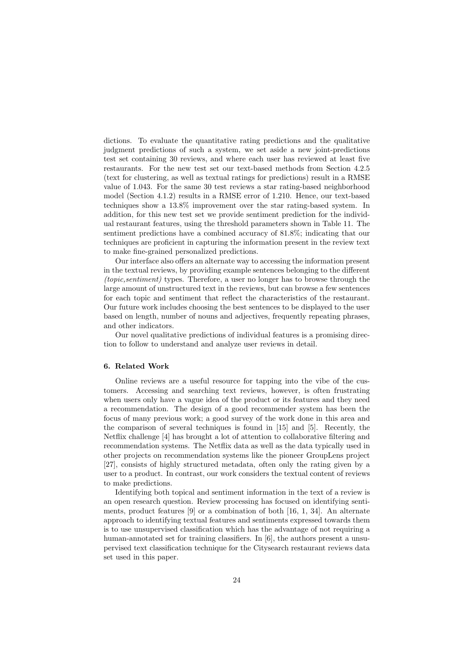dictions. To evaluate the quantitative rating predictions and the qualitative judgment predictions of such a system, we set aside a new joint-predictions test set containing 30 reviews, and where each user has reviewed at least five restaurants. For the new test set our text-based methods from Section 4.2.5 (text for clustering, as well as textual ratings for predictions) result in a RMSE value of 1.043. For the same 30 test reviews a star rating-based neighborhood model (Section 4.1.2) results in a RMSE error of 1.210. Hence, our text-based techniques show a 13.8% improvement over the star rating-based system. In addition, for this new test set we provide sentiment prediction for the individual restaurant features, using the threshold parameters shown in Table 11. The sentiment predictions have a combined accuracy of 81.8%; indicating that our techniques are proficient in capturing the information present in the review text to make fine-grained personalized predictions.

Our interface also offers an alternate way to accessing the information present in the textual reviews, by providing example sentences belonging to the different (topic,sentiment) types. Therefore, a user no longer has to browse through the large amount of unstructured text in the reviews, but can browse a few sentences for each topic and sentiment that reflect the characteristics of the restaurant. Our future work includes choosing the best sentences to be displayed to the user based on length, number of nouns and adjectives, frequently repeating phrases, and other indicators.

Our novel qualitative predictions of individual features is a promising direction to follow to understand and analyze user reviews in detail.

# 6. Related Work

Online reviews are a useful resource for tapping into the vibe of the customers. Accessing and searching text reviews, however, is often frustrating when users only have a vague idea of the product or its features and they need a recommendation. The design of a good recommender system has been the focus of many previous work; a good survey of the work done in this area and the comparison of several techniques is found in [15] and [5]. Recently, the Netflix challenge [4] has brought a lot of attention to collaborative filtering and recommendation systems. The Netflix data as well as the data typically used in other projects on recommendation systems like the pioneer GroupLens project [27], consists of highly structured metadata, often only the rating given by a user to a product. In contrast, our work considers the textual content of reviews to make predictions.

Identifying both topical and sentiment information in the text of a review is an open research question. Review processing has focused on identifying sentiments, product features [9] or a combination of both [16, 1, 34]. An alternate approach to identifying textual features and sentiments expressed towards them is to use unsupervised classification which has the advantage of not requiring a human-annotated set for training classifiers. In [6], the authors present a unsupervised text classification technique for the Citysearch restaurant reviews data set used in this paper.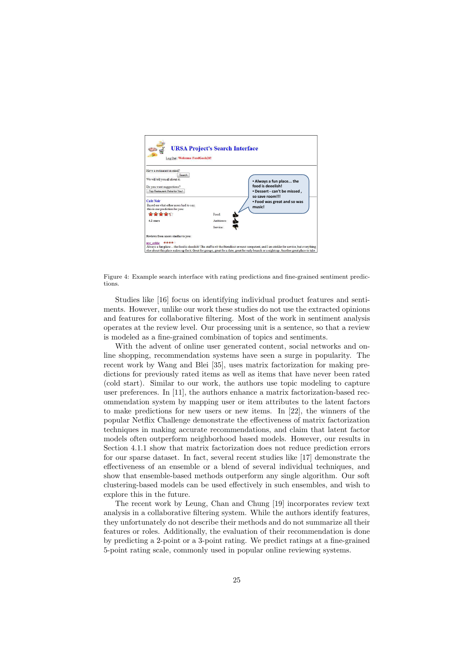

Figure 4: Example search interface with rating predictions and fine-grained sentiment predictions.

Studies like [16] focus on identifying individual product features and sentiments. However, unlike our work these studies do not use the extracted opinions and features for collaborative filtering. Most of the work in sentiment analysis operates at the review level. Our processing unit is a sentence, so that a review is modeled as a fine-grained combination of topics and sentiments.

With the advent of online user generated content, social networks and online shopping, recommendation systems have seen a surge in popularity. The recent work by Wang and Blei [35], uses matrix factorization for making predictions for previously rated items as well as items that have never been rated (cold start). Similar to our work, the authors use topic modeling to capture user preferences. In [11], the authors enhance a matrix factorization-based recommendation system by mapping user or item attributes to the latent factors to make predictions for new users or new items. In [22], the winners of the popular Netflix Challenge demonstrate the effectiveness of matrix factorization techniques in making accurate recommendations, and claim that latent factor models often outperform neighborhood based models. However, our results in Section 4.1.1 show that matrix factorization does not reduce prediction errors for our sparse dataset. In fact, several recent studies like [17] demonstrate the effectiveness of an ensemble or a blend of several individual techniques, and show that ensemble-based methods outperform any single algorithm. Our soft clustering-based models can be used effectively in such ensembles, and wish to explore this in the future.

The recent work by Leung, Chan and Chung [19] incorporates review text analysis in a collaborative filtering system. While the authors identify features, they unfortunately do not describe their methods and do not summarize all their features or roles. Additionally, the evaluation of their recommendation is done by predicting a 2-point or a 3-point rating. We predict ratings at a fine-grained 5-point rating scale, commonly used in popular online reviewing systems.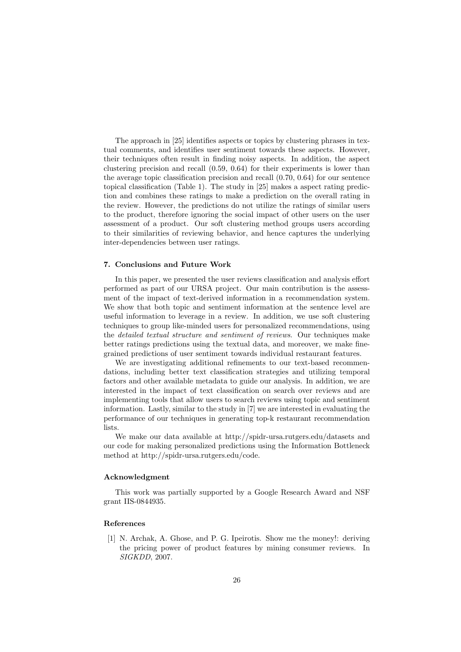The approach in [25] identifies aspects or topics by clustering phrases in textual comments, and identifies user sentiment towards these aspects. However, their techniques often result in finding noisy aspects. In addition, the aspect clustering precision and recall (0.59, 0.64) for their experiments is lower than the average topic classification precision and recall (0.70, 0.64) for our sentence topical classification (Table 1). The study in [25] makes a aspect rating prediction and combines these ratings to make a prediction on the overall rating in the review. However, the predictions do not utilize the ratings of similar users to the product, therefore ignoring the social impact of other users on the user assessment of a product. Our soft clustering method groups users according to their similarities of reviewing behavior, and hence captures the underlying inter-dependencies between user ratings.

#### 7. Conclusions and Future Work

In this paper, we presented the user reviews classification and analysis effort performed as part of our URSA project. Our main contribution is the assessment of the impact of text-derived information in a recommendation system. We show that both topic and sentiment information at the sentence level are useful information to leverage in a review. In addition, we use soft clustering techniques to group like-minded users for personalized recommendations, using the detailed textual structure and sentiment of reviews. Our techniques make better ratings predictions using the textual data, and moreover, we make finegrained predictions of user sentiment towards individual restaurant features.

We are investigating additional refinements to our text-based recommendations, including better text classification strategies and utilizing temporal factors and other available metadata to guide our analysis. In addition, we are interested in the impact of text classification on search over reviews and are implementing tools that allow users to search reviews using topic and sentiment information. Lastly, similar to the study in [7] we are interested in evaluating the performance of our techniques in generating top-k restaurant recommendation lists.

We make our data available at http://spidr-ursa.rutgers.edu/datasets and our code for making personalized predictions using the Information Bottleneck method at http://spidr-ursa.rutgers.edu/code.

# Acknowledgment

This work was partially supported by a Google Research Award and NSF grant IIS-0844935.

# References

[1] N. Archak, A. Ghose, and P. G. Ipeirotis. Show me the money!: deriving the pricing power of product features by mining consumer reviews. In SIGKDD, 2007.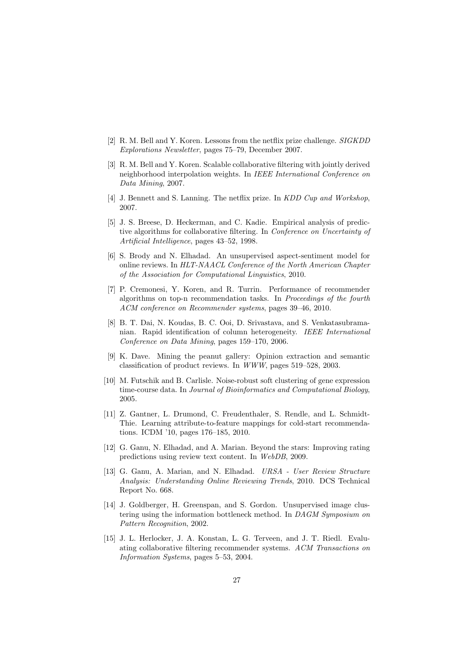- [2] R. M. Bell and Y. Koren. Lessons from the netflix prize challenge. SIGKDD Explorations Newsletter, pages 75–79, December 2007.
- [3] R. M. Bell and Y. Koren. Scalable collaborative filtering with jointly derived neighborhood interpolation weights. In IEEE International Conference on Data Mining, 2007.
- [4] J. Bennett and S. Lanning. The netflix prize. In KDD Cup and Workshop, 2007.
- [5] J. S. Breese, D. Heckerman, and C. Kadie. Empirical analysis of predictive algorithms for collaborative filtering. In Conference on Uncertainty of Artificial Intelligence, pages 43–52, 1998.
- [6] S. Brody and N. Elhadad. An unsupervised aspect-sentiment model for online reviews. In HLT-NAACL Conference of the North American Chapter of the Association for Computational Linguistics, 2010.
- [7] P. Cremonesi, Y. Koren, and R. Turrin. Performance of recommender algorithms on top-n recommendation tasks. In Proceedings of the fourth ACM conference on Recommender systems, pages 39–46, 2010.
- [8] B. T. Dai, N. Koudas, B. C. Ooi, D. Srivastava, and S. Venkatasubramanian. Rapid identification of column heterogeneity. IEEE International Conference on Data Mining, pages 159–170, 2006.
- [9] K. Dave. Mining the peanut gallery: Opinion extraction and semantic classification of product reviews. In WWW, pages 519–528, 2003.
- [10] M. Futschik and B. Carlisle. Noise-robust soft clustering of gene expression time-course data. In Journal of Bioinformatics and Computational Biology, 2005.
- [11] Z. Gantner, L. Drumond, C. Freudenthaler, S. Rendle, and L. Schmidt-Thie. Learning attribute-to-feature mappings for cold-start recommendations. ICDM '10, pages 176–185, 2010.
- [12] G. Ganu, N. Elhadad, and A. Marian. Beyond the stars: Improving rating predictions using review text content. In WebDB, 2009.
- [13] G. Ganu, A. Marian, and N. Elhadad. URSA User Review Structure Analysis: Understanding Online Reviewing Trends, 2010. DCS Technical Report No. 668.
- [14] J. Goldberger, H. Greenspan, and S. Gordon. Unsupervised image clustering using the information bottleneck method. In DAGM Symposium on Pattern Recognition, 2002.
- [15] J. L. Herlocker, J. A. Konstan, L. G. Terveen, and J. T. Riedl. Evaluating collaborative filtering recommender systems. ACM Transactions on Information Systems, pages 5–53, 2004.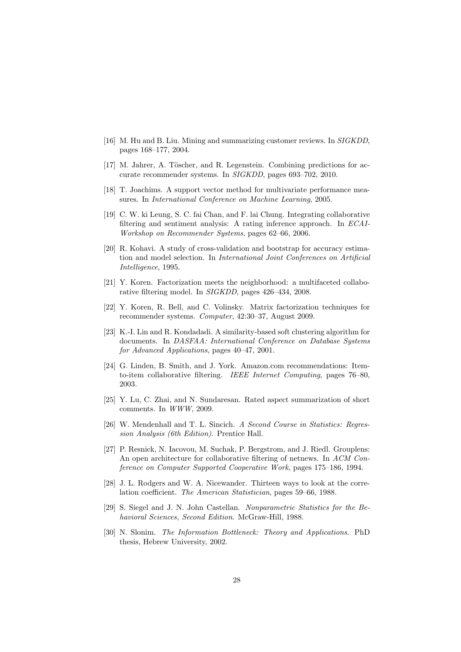- [16] M. Hu and B. Liu. Mining and summarizing customer reviews. In SIGKDD, pages 168–177, 2004.
- [17] M. Jahrer, A. Töscher, and R. Legenstein. Combining predictions for accurate recommender systems. In SIGKDD, pages 693–702, 2010.
- [18] T. Joachims. A support vector method for multivariate performance measures. In International Conference on Machine Learning, 2005.
- [19] C. W. ki Leung, S. C. fai Chan, and F. lai Chung. Integrating collaborative filtering and sentiment analysis: A rating inference approach. In ECAI-Workshop on Recommender Systems, pages 62–66, 2006.
- [20] R. Kohavi. A study of cross-validation and bootstrap for accuracy estimation and model selection. In International Joint Conferences on Artificial Intelligence, 1995.
- [21] Y. Koren. Factorization meets the neighborhood: a multifaceted collaborative filtering model. In SIGKDD, pages 426–434, 2008.
- [22] Y. Koren, R. Bell, and C. Volinsky. Matrix factorization techniques for recommender systems. Computer, 42:30–37, August 2009.
- [23] K.-I. Lin and R. Kondadadi. A similarity-based soft clustering algorithm for documents. In DASFAA: International Conference on Database Systems for Advanced Applications, pages 40–47, 2001.
- [24] G. Linden, B. Smith, and J. York. Amazon.com recommendations: Itemto-item collaborative filtering. IEEE Internet Computing, pages 76–80, 2003.
- [25] Y. Lu, C. Zhai, and N. Sundaresan. Rated aspect summarization of short comments. In WWW, 2009.
- [26] W. Mendenhall and T. L. Sincich. A Second Course in Statistics: Regression Analysis (6th Edition). Prentice Hall.
- [27] P. Resnick, N. Iacovou, M. Suchak, P. Bergstrom, and J. Riedl. Grouplens: An open architecture for collaborative filtering of netnews. In ACM Conference on Computer Supported Cooperative Work, pages 175–186, 1994.
- [28] J. L. Rodgers and W. A. Nicewander. Thirteen ways to look at the correlation coefficient. The American Statistician, pages 59–66, 1988.
- [29] S. Siegel and J. N. John Castellan. Nonparametric Statistics for the Behavioral Sciences, Second Edition. McGraw-Hill, 1988.
- [30] N. Slonim. The Information Bottleneck: Theory and Applications. PhD thesis, Hebrew University, 2002.